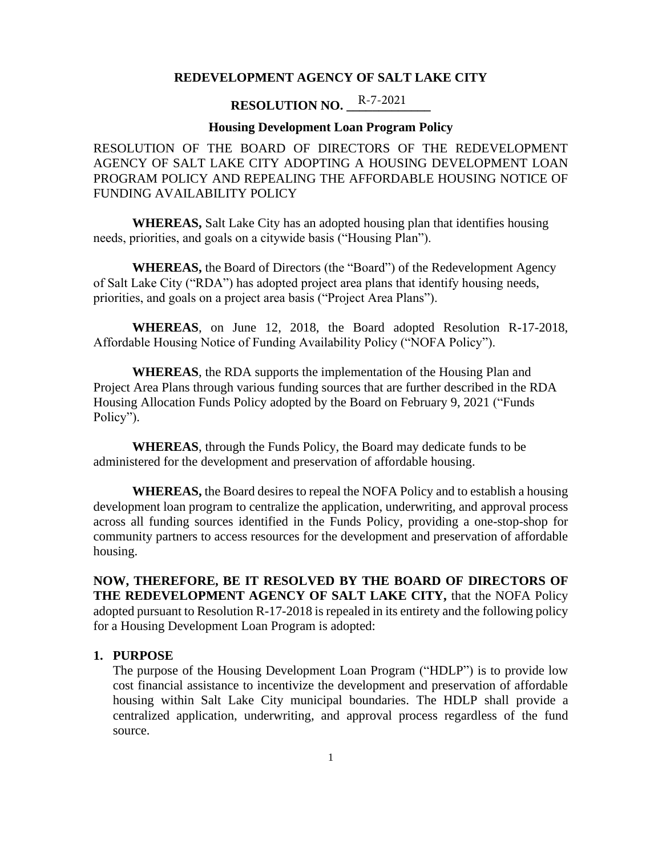#### **REDEVELOPMENT AGENCY OF SALT LAKE CITY**

### **RESOLUTION NO.** R-7-2021

#### **Housing Development Loan Program Policy**

RESOLUTION OF THE BOARD OF DIRECTORS OF THE REDEVELOPMENT AGENCY OF SALT LAKE CITY ADOPTING A HOUSING DEVELOPMENT LOAN PROGRAM POLICY AND REPEALING THE AFFORDABLE HOUSING NOTICE OF FUNDING AVAILABILITY POLICY

**WHEREAS,** Salt Lake City has an adopted housing plan that identifies housing needs, priorities, and goals on a citywide basis ("Housing Plan").

**WHEREAS,** the Board of Directors (the "Board") of the Redevelopment Agency of Salt Lake City ("RDA") has adopted project area plans that identify housing needs, priorities, and goals on a project area basis ("Project Area Plans").

**WHEREAS**, on June 12, 2018, the Board adopted Resolution R-17-2018, Affordable Housing Notice of Funding Availability Policy ("NOFA Policy").

**WHEREAS**, the RDA supports the implementation of the Housing Plan and Project Area Plans through various funding sources that are further described in the RDA Housing Allocation Funds Policy adopted by the Board on February 9, 2021 ("Funds Policy").

**WHEREAS**, through the Funds Policy, the Board may dedicate funds to be administered for the development and preservation of affordable housing.

**WHEREAS,** the Board desires to repeal the NOFA Policy and to establish a housing development loan program to centralize the application, underwriting, and approval process across all funding sources identified in the Funds Policy, providing a one-stop-shop for community partners to access resources for the development and preservation of affordable housing.

**NOW, THEREFORE, BE IT RESOLVED BY THE BOARD OF DIRECTORS OF THE REDEVELOPMENT AGENCY OF SALT LAKE CITY,** that the NOFA Policy adopted pursuant to Resolution R-17-2018 is repealed in its entirety and the following policy for a Housing Development Loan Program is adopted:

#### **1. PURPOSE**

The purpose of the Housing Development Loan Program ("HDLP") is to provide low cost financial assistance to incentivize the development and preservation of affordable housing within Salt Lake City municipal boundaries. The HDLP shall provide a centralized application, underwriting, and approval process regardless of the fund source.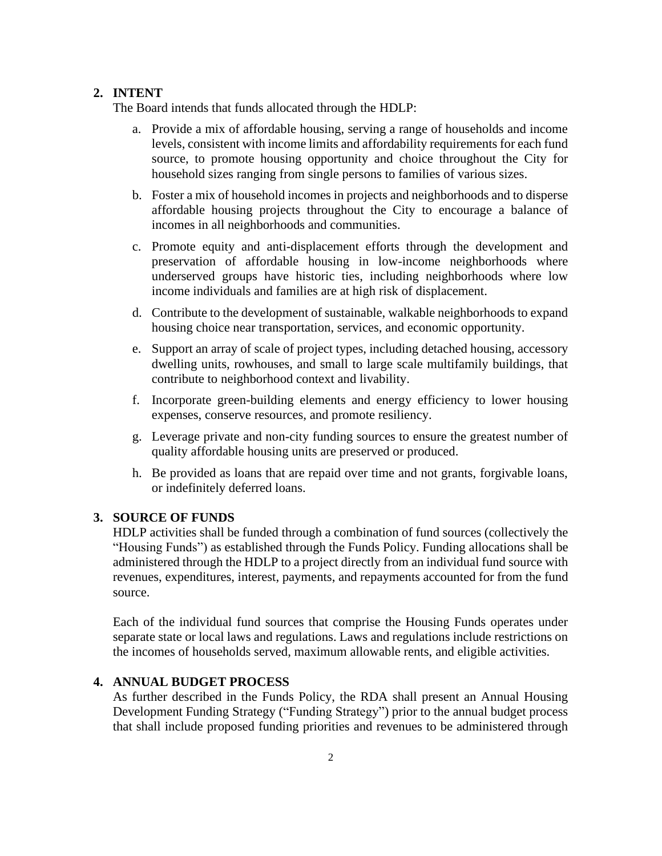#### **2. INTENT**

The Board intends that funds allocated through the HDLP:

- a. Provide a mix of affordable housing, serving a range of households and income levels, consistent with income limits and affordability requirements for each fund source, to promote housing opportunity and choice throughout the City for household sizes ranging from single persons to families of various sizes.
- b. Foster a mix of household incomes in projects and neighborhoods and to disperse affordable housing projects throughout the City to encourage a balance of incomes in all neighborhoods and communities.
- c. Promote equity and anti-displacement efforts through the development and preservation of affordable housing in low-income neighborhoods where underserved groups have historic ties, including neighborhoods where low income individuals and families are at high risk of displacement.
- d. Contribute to the development of sustainable, walkable neighborhoods to expand housing choice near transportation, services, and economic opportunity.
- e. Support an array of scale of project types, including detached housing, accessory dwelling units, rowhouses, and small to large scale multifamily buildings, that contribute to neighborhood context and livability.
- f. Incorporate green-building elements and energy efficiency to lower housing expenses, conserve resources, and promote resiliency.
- g. Leverage private and non-city funding sources to ensure the greatest number of quality affordable housing units are preserved or produced.
- h. Be provided as loans that are repaid over time and not grants, forgivable loans, or indefinitely deferred loans.

#### **3. SOURCE OF FUNDS**

HDLP activities shall be funded through a combination of fund sources (collectively the "Housing Funds") as established through the Funds Policy. Funding allocations shall be administered through the HDLP to a project directly from an individual fund source with revenues, expenditures, interest, payments, and repayments accounted for from the fund source.

Each of the individual fund sources that comprise the Housing Funds operates under separate state or local laws and regulations. Laws and regulations include restrictions on the incomes of households served, maximum allowable rents, and eligible activities.

#### **4. ANNUAL BUDGET PROCESS**

As further described in the Funds Policy, the RDA shall present an Annual Housing Development Funding Strategy ("Funding Strategy") prior to the annual budget process that shall include proposed funding priorities and revenues to be administered through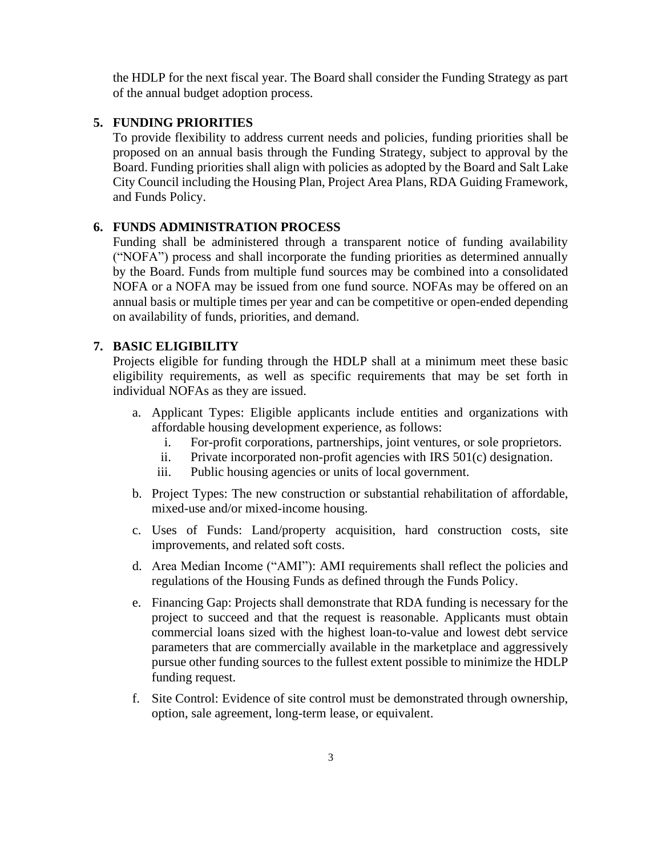the HDLP for the next fiscal year. The Board shall consider the Funding Strategy as part of the annual budget adoption process.

#### **5. FUNDING PRIORITIES**

To provide flexibility to address current needs and policies, funding priorities shall be proposed on an annual basis through the Funding Strategy, subject to approval by the Board. Funding priorities shall align with policies as adopted by the Board and Salt Lake City Council including the Housing Plan, Project Area Plans, RDA Guiding Framework, and Funds Policy.

#### **6. FUNDS ADMINISTRATION PROCESS**

Funding shall be administered through a transparent notice of funding availability ("NOFA") process and shall incorporate the funding priorities as determined annually by the Board. Funds from multiple fund sources may be combined into a consolidated NOFA or a NOFA may be issued from one fund source. NOFAs may be offered on an annual basis or multiple times per year and can be competitive or open-ended depending on availability of funds, priorities, and demand.

#### **7. BASIC ELIGIBILITY**

Projects eligible for funding through the HDLP shall at a minimum meet these basic eligibility requirements, as well as specific requirements that may be set forth in individual NOFAs as they are issued.

- a. Applicant Types: Eligible applicants include entities and organizations with affordable housing development experience, as follows:
	- i. For-profit corporations, partnerships, joint ventures, or sole proprietors.
	- ii. Private incorporated non-profit agencies with IRS 501(c) designation.
	- iii. Public housing agencies or units of local government.
- b. Project Types: The new construction or substantial rehabilitation of affordable, mixed-use and/or mixed-income housing.
- c. Uses of Funds: Land/property acquisition, hard construction costs, site improvements, and related soft costs.
- d. Area Median Income ("AMI"): AMI requirements shall reflect the policies and regulations of the Housing Funds as defined through the Funds Policy.
- e. Financing Gap: Projects shall demonstrate that RDA funding is necessary for the project to succeed and that the request is reasonable. Applicants must obtain commercial loans sized with the highest loan-to-value and lowest debt service parameters that are commercially available in the marketplace and aggressively pursue other funding sources to the fullest extent possible to minimize the HDLP funding request.
- f. Site Control: Evidence of site control must be demonstrated through ownership, option, sale agreement, long-term lease, or equivalent.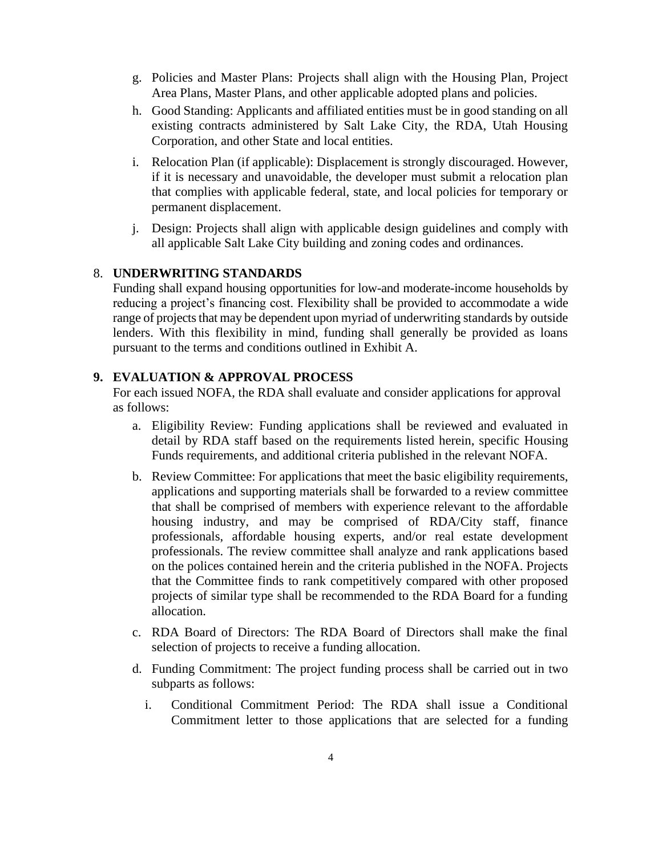- g. Policies and Master Plans: Projects shall align with the Housing Plan, Project Area Plans, Master Plans, and other applicable adopted plans and policies.
- h. Good Standing: Applicants and affiliated entities must be in good standing on all existing contracts administered by Salt Lake City, the RDA, Utah Housing Corporation, and other State and local entities.
- i. Relocation Plan (if applicable): Displacement is strongly discouraged. However, if it is necessary and unavoidable, the developer must submit a relocation plan that complies with applicable federal, state, and local policies for temporary or permanent displacement.
- j. Design: Projects shall align with applicable design guidelines and comply with all applicable Salt Lake City building and zoning codes and ordinances.

#### 8. **UNDERWRITING STANDARDS**

Funding shall expand housing opportunities for low-and moderate-income households by reducing a project's financing cost. Flexibility shall be provided to accommodate a wide range of projects that may be dependent upon myriad of underwriting standards by outside lenders. With this flexibility in mind, funding shall generally be provided as loans pursuant to the terms and conditions outlined in Exhibit A.

#### **9. EVALUATION & APPROVAL PROCESS**

For each issued NOFA, the RDA shall evaluate and consider applications for approval as follows:

- a. Eligibility Review: Funding applications shall be reviewed and evaluated in detail by RDA staff based on the requirements listed herein, specific Housing Funds requirements, and additional criteria published in the relevant NOFA.
- b. Review Committee: For applications that meet the basic eligibility requirements, applications and supporting materials shall be forwarded to a review committee that shall be comprised of members with experience relevant to the affordable housing industry, and may be comprised of RDA/City staff, finance professionals, affordable housing experts, and/or real estate development professionals. The review committee shall analyze and rank applications based on the polices contained herein and the criteria published in the NOFA. Projects that the Committee finds to rank competitively compared with other proposed projects of similar type shall be recommended to the RDA Board for a funding allocation.
- c. RDA Board of Directors: The RDA Board of Directors shall make the final selection of projects to receive a funding allocation.
- d. Funding Commitment: The project funding process shall be carried out in two subparts as follows:
	- i. Conditional Commitment Period: The RDA shall issue a Conditional Commitment letter to those applications that are selected for a funding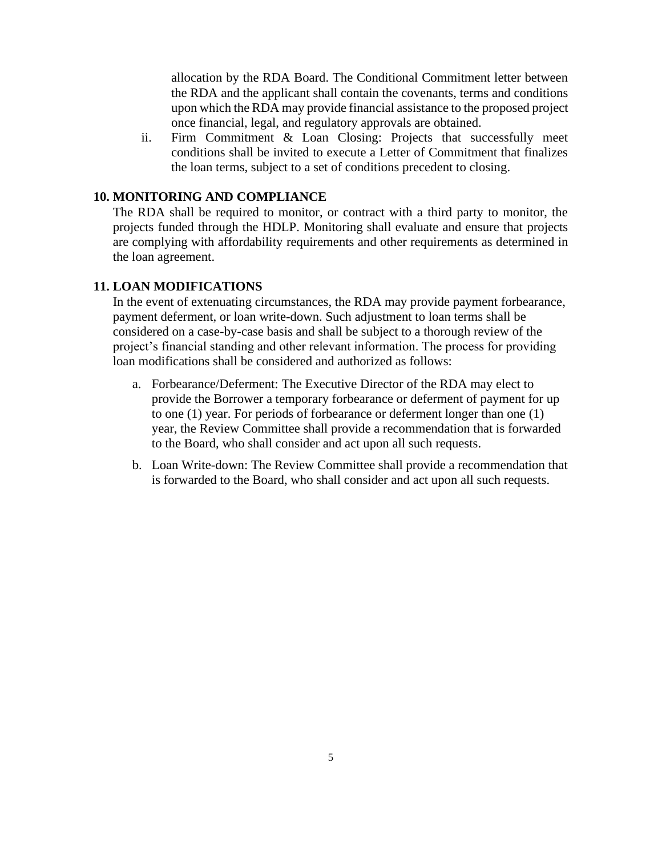allocation by the RDA Board. The Conditional Commitment letter between the RDA and the applicant shall contain the covenants, terms and conditions upon which the RDA may provide financial assistance to the proposed project once financial, legal, and regulatory approvals are obtained.

ii. Firm Commitment & Loan Closing: Projects that successfully meet conditions shall be invited to execute a Letter of Commitment that finalizes the loan terms, subject to a set of conditions precedent to closing.

#### **10. MONITORING AND COMPLIANCE**

The RDA shall be required to monitor, or contract with a third party to monitor, the projects funded through the HDLP. Monitoring shall evaluate and ensure that projects are complying with affordability requirements and other requirements as determined in the loan agreement.

#### **11. LOAN MODIFICATIONS**

In the event of extenuating circumstances, the RDA may provide payment forbearance, payment deferment, or loan write-down. Such adjustment to loan terms shall be considered on a case-by-case basis and shall be subject to a thorough review of the project's financial standing and other relevant information. The process for providing loan modifications shall be considered and authorized as follows:

- a. Forbearance/Deferment: The Executive Director of the RDA may elect to provide the Borrower a temporary forbearance or deferment of payment for up to one (1) year. For periods of forbearance or deferment longer than one (1) year, the Review Committee shall provide a recommendation that is forwarded to the Board, who shall consider and act upon all such requests.
- b. Loan Write-down: The Review Committee shall provide a recommendation that is forwarded to the Board, who shall consider and act upon all such requests.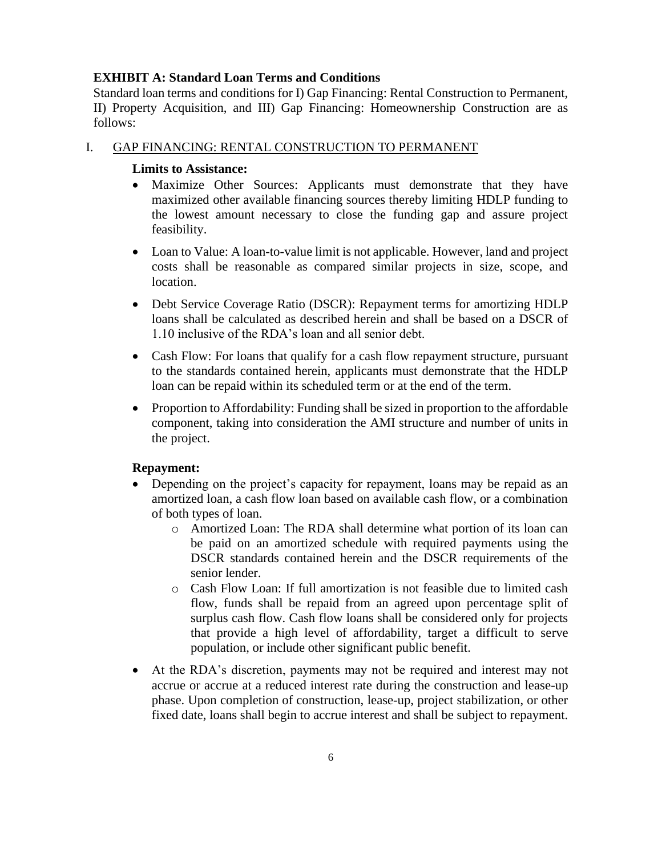#### **EXHIBIT A: Standard Loan Terms and Conditions**

Standard loan terms and conditions for I) Gap Financing: Rental Construction to Permanent, II) Property Acquisition, and III) Gap Financing: Homeownership Construction are as follows:

#### I. GAP FINANCING: RENTAL CONSTRUCTION TO PERMANENT

#### **Limits to Assistance:**

- Maximize Other Sources: Applicants must demonstrate that they have maximized other available financing sources thereby limiting HDLP funding to the lowest amount necessary to close the funding gap and assure project feasibility.
- Loan to Value: A loan-to-value limit is not applicable. However, land and project costs shall be reasonable as compared similar projects in size, scope, and location.
- Debt Service Coverage Ratio (DSCR): Repayment terms for amortizing HDLP loans shall be calculated as described herein and shall be based on a DSCR of 1.10 inclusive of the RDA's loan and all senior debt.
- Cash Flow: For loans that qualify for a cash flow repayment structure, pursuant to the standards contained herein, applicants must demonstrate that the HDLP loan can be repaid within its scheduled term or at the end of the term.
- Proportion to Affordability: Funding shall be sized in proportion to the affordable component, taking into consideration the AMI structure and number of units in the project.

#### **Repayment:**

- Depending on the project's capacity for repayment, loans may be repaid as an amortized loan, a cash flow loan based on available cash flow, or a combination of both types of loan.
	- o Amortized Loan: The RDA shall determine what portion of its loan can be paid on an amortized schedule with required payments using the DSCR standards contained herein and the DSCR requirements of the senior lender.
	- o Cash Flow Loan: If full amortization is not feasible due to limited cash flow, funds shall be repaid from an agreed upon percentage split of surplus cash flow. Cash flow loans shall be considered only for projects that provide a high level of affordability, target a difficult to serve population, or include other significant public benefit.
- At the RDA's discretion, payments may not be required and interest may not accrue or accrue at a reduced interest rate during the construction and lease-up phase. Upon completion of construction, lease-up, project stabilization, or other fixed date, loans shall begin to accrue interest and shall be subject to repayment.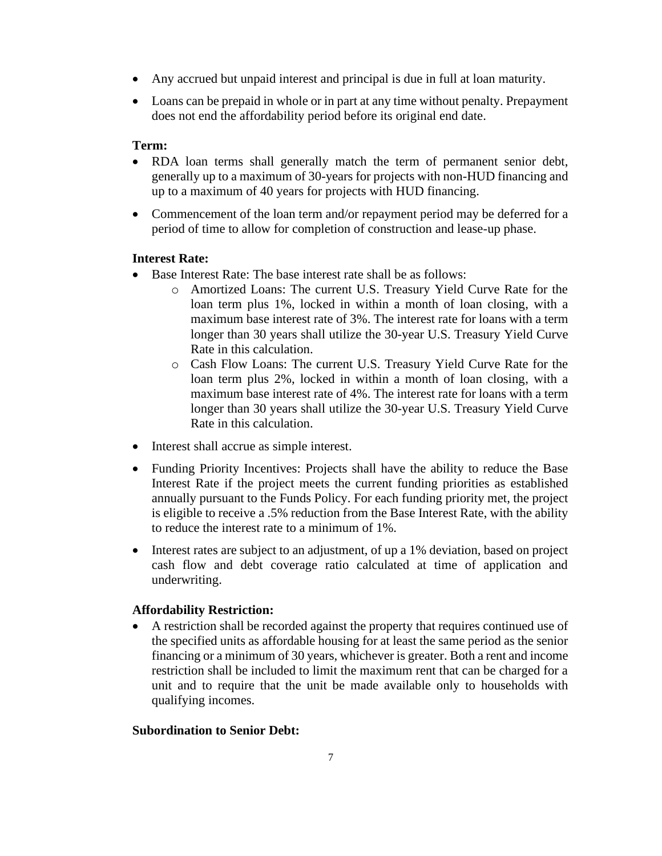- Any accrued but unpaid interest and principal is due in full at loan maturity.
- Loans can be prepaid in whole or in part at any time without penalty. Prepayment does not end the affordability period before its original end date.

#### **Term:**

- RDA loan terms shall generally match the term of permanent senior debt, generally up to a maximum of 30-years for projects with non-HUD financing and up to a maximum of 40 years for projects with HUD financing.
- Commencement of the loan term and/or repayment period may be deferred for a period of time to allow for completion of construction and lease-up phase.

#### **Interest Rate:**

- Base Interest Rate: The base interest rate shall be as follows:
	- o Amortized Loans: The current U.S. Treasury Yield Curve Rate for the loan term plus 1%, locked in within a month of loan closing, with a maximum base interest rate of 3%. The interest rate for loans with a term longer than 30 years shall utilize the 30-year U.S. Treasury Yield Curve Rate in this calculation.
	- o Cash Flow Loans: The current U.S. Treasury Yield Curve Rate for the loan term plus 2%, locked in within a month of loan closing, with a maximum base interest rate of 4%. The interest rate for loans with a term longer than 30 years shall utilize the 30-year U.S. Treasury Yield Curve Rate in this calculation.
- Interest shall accrue as simple interest.
- Funding Priority Incentives: Projects shall have the ability to reduce the Base Interest Rate if the project meets the current funding priorities as established annually pursuant to the Funds Policy. For each funding priority met, the project is eligible to receive a .5% reduction from the Base Interest Rate, with the ability to reduce the interest rate to a minimum of 1%.
- Interest rates are subject to an adjustment, of up a 1% deviation, based on project cash flow and debt coverage ratio calculated at time of application and underwriting.

#### **Affordability Restriction:**

• A restriction shall be recorded against the property that requires continued use of the specified units as affordable housing for at least the same period as the senior financing or a minimum of 30 years, whichever is greater. Both a rent and income restriction shall be included to limit the maximum rent that can be charged for a unit and to require that the unit be made available only to households with qualifying incomes.

#### **Subordination to Senior Debt:**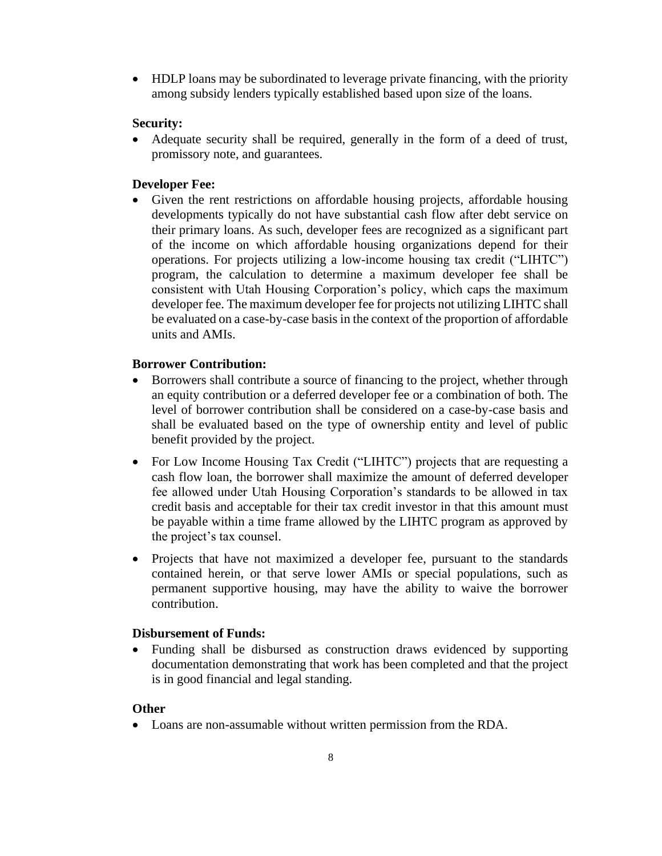• HDLP loans may be subordinated to leverage private financing, with the priority among subsidy lenders typically established based upon size of the loans.

#### **Security:**

• Adequate security shall be required, generally in the form of a deed of trust, promissory note, and guarantees.

#### **Developer Fee:**

• Given the rent restrictions on affordable housing projects, affordable housing developments typically do not have substantial cash flow after debt service on their primary loans. As such, developer fees are recognized as a significant part of the income on which affordable housing organizations depend for their operations. For projects utilizing a low-income housing tax credit ("LIHTC") program, the calculation to determine a maximum developer fee shall be consistent with Utah Housing Corporation's policy, which caps the maximum developer fee. The maximum developer fee for projects not utilizing LIHTC shall be evaluated on a case-by-case basis in the context of the proportion of affordable units and AMIs.

#### **Borrower Contribution:**

- Borrowers shall contribute a source of financing to the project, whether through an equity contribution or a deferred developer fee or a combination of both. The level of borrower contribution shall be considered on a case-by-case basis and shall be evaluated based on the type of ownership entity and level of public benefit provided by the project.
- For Low Income Housing Tax Credit ("LIHTC") projects that are requesting a cash flow loan, the borrower shall maximize the amount of deferred developer fee allowed under Utah Housing Corporation's standards to be allowed in tax credit basis and acceptable for their tax credit investor in that this amount must be payable within a time frame allowed by the LIHTC program as approved by the project's tax counsel.
- Projects that have not maximized a developer fee, pursuant to the standards contained herein, or that serve lower AMIs or special populations, such as permanent supportive housing, may have the ability to waive the borrower contribution.

#### **Disbursement of Funds:**

• Funding shall be disbursed as construction draws evidenced by supporting documentation demonstrating that work has been completed and that the project is in good financial and legal standing.

#### **Other**

• Loans are non-assumable without written permission from the RDA.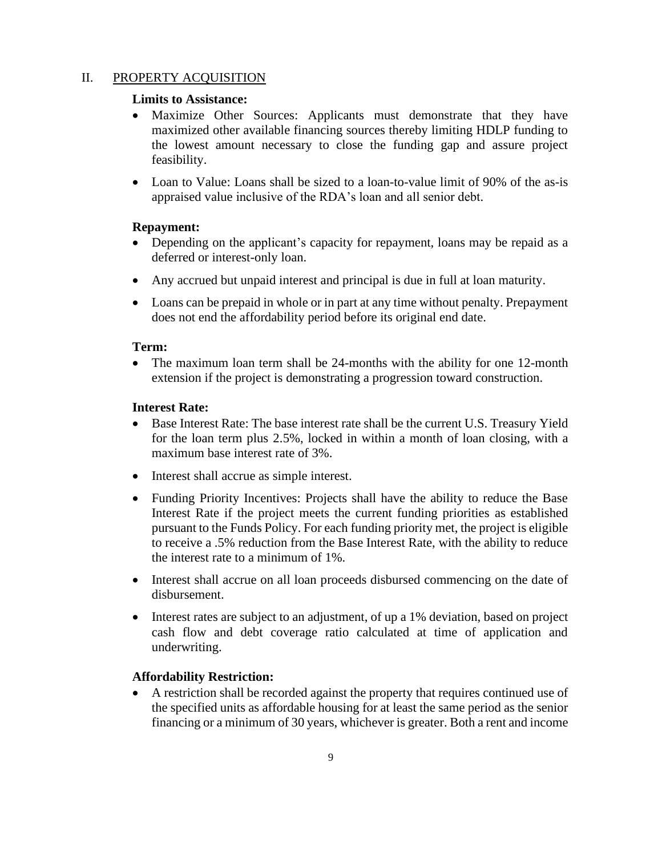#### II. PROPERTY ACQUISITION

#### **Limits to Assistance:**

- Maximize Other Sources: Applicants must demonstrate that they have maximized other available financing sources thereby limiting HDLP funding to the lowest amount necessary to close the funding gap and assure project feasibility.
- Loan to Value: Loans shall be sized to a loan-to-value limit of 90% of the as-is appraised value inclusive of the RDA's loan and all senior debt.

#### **Repayment:**

- Depending on the applicant's capacity for repayment, loans may be repaid as a deferred or interest-only loan.
- Any accrued but unpaid interest and principal is due in full at loan maturity.
- Loans can be prepaid in whole or in part at any time without penalty. Prepayment does not end the affordability period before its original end date.

#### **Term:**

• The maximum loan term shall be 24-months with the ability for one 12-month extension if the project is demonstrating a progression toward construction.

#### **Interest Rate:**

- Base Interest Rate: The base interest rate shall be the current U.S. Treasury Yield for the loan term plus 2.5%, locked in within a month of loan closing, with a maximum base interest rate of 3%.
- Interest shall accrue as simple interest.
- Funding Priority Incentives: Projects shall have the ability to reduce the Base Interest Rate if the project meets the current funding priorities as established pursuant to the Funds Policy. For each funding priority met, the project is eligible to receive a .5% reduction from the Base Interest Rate, with the ability to reduce the interest rate to a minimum of 1%.
- Interest shall accrue on all loan proceeds disbursed commencing on the date of disbursement.
- Interest rates are subject to an adjustment, of up a 1% deviation, based on project cash flow and debt coverage ratio calculated at time of application and underwriting.

#### **Affordability Restriction:**

• A restriction shall be recorded against the property that requires continued use of the specified units as affordable housing for at least the same period as the senior financing or a minimum of 30 years, whichever is greater. Both a rent and income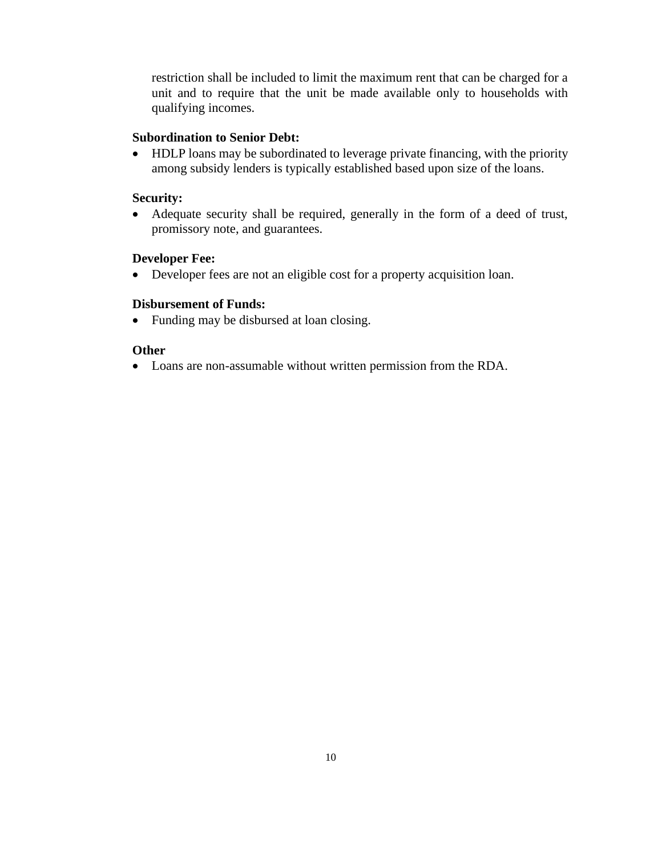restriction shall be included to limit the maximum rent that can be charged for a unit and to require that the unit be made available only to households with qualifying incomes.

#### **Subordination to Senior Debt:**

• HDLP loans may be subordinated to leverage private financing, with the priority among subsidy lenders is typically established based upon size of the loans.

#### **Security:**

• Adequate security shall be required, generally in the form of a deed of trust, promissory note, and guarantees.

#### **Developer Fee:**

• Developer fees are not an eligible cost for a property acquisition loan.

#### **Disbursement of Funds:**

• Funding may be disbursed at loan closing.

#### **Other**

• Loans are non-assumable without written permission from the RDA.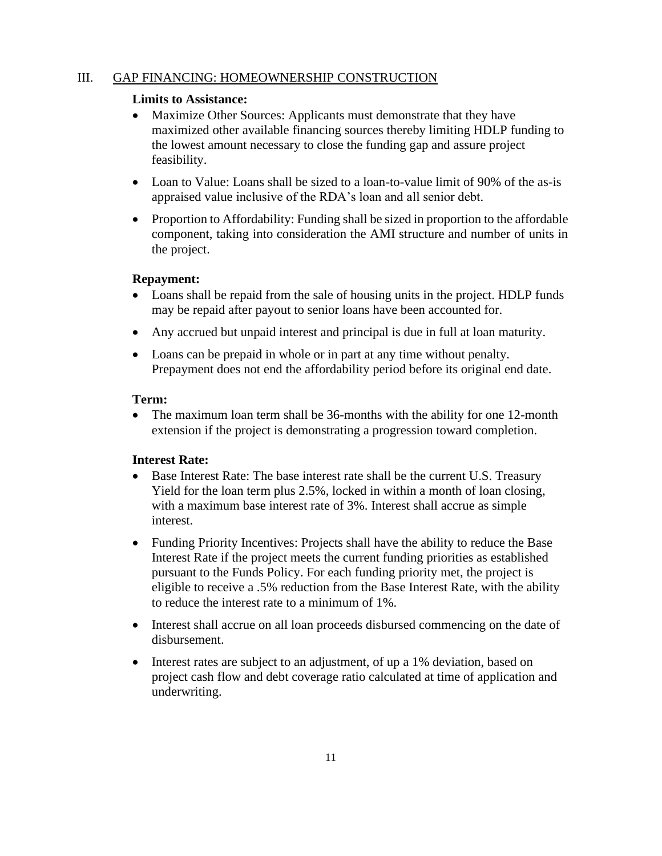#### III. GAP FINANCING: HOMEOWNERSHIP CONSTRUCTION

#### **Limits to Assistance:**

- Maximize Other Sources: Applicants must demonstrate that they have maximized other available financing sources thereby limiting HDLP funding to the lowest amount necessary to close the funding gap and assure project feasibility.
- Loan to Value: Loans shall be sized to a loan-to-value limit of 90% of the as-is appraised value inclusive of the RDA's loan and all senior debt.
- Proportion to Affordability: Funding shall be sized in proportion to the affordable component, taking into consideration the AMI structure and number of units in the project.

#### **Repayment:**

- Loans shall be repaid from the sale of housing units in the project. HDLP funds may be repaid after payout to senior loans have been accounted for.
- Any accrued but unpaid interest and principal is due in full at loan maturity.
- Loans can be prepaid in whole or in part at any time without penalty. Prepayment does not end the affordability period before its original end date.

#### **Term:**

• The maximum loan term shall be 36-months with the ability for one 12-month extension if the project is demonstrating a progression toward completion.

#### **Interest Rate:**

- Base Interest Rate: The base interest rate shall be the current U.S. Treasury Yield for the loan term plus 2.5%, locked in within a month of loan closing, with a maximum base interest rate of 3%. Interest shall accrue as simple interest.
- Funding Priority Incentives: Projects shall have the ability to reduce the Base Interest Rate if the project meets the current funding priorities as established pursuant to the Funds Policy. For each funding priority met, the project is eligible to receive a .5% reduction from the Base Interest Rate, with the ability to reduce the interest rate to a minimum of 1%.
- Interest shall accrue on all loan proceeds disbursed commencing on the date of disbursement.
- Interest rates are subject to an adjustment, of up a 1% deviation, based on project cash flow and debt coverage ratio calculated at time of application and underwriting.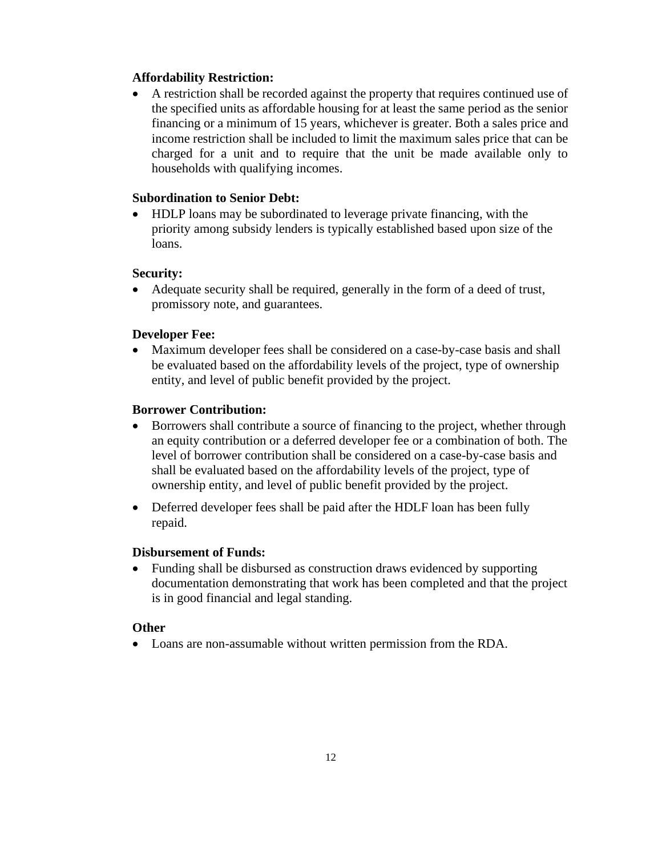#### **Affordability Restriction:**

• A restriction shall be recorded against the property that requires continued use of the specified units as affordable housing for at least the same period as the senior financing or a minimum of 15 years, whichever is greater. Both a sales price and income restriction shall be included to limit the maximum sales price that can be charged for a unit and to require that the unit be made available only to households with qualifying incomes.

#### **Subordination to Senior Debt:**

• HDLP loans may be subordinated to leverage private financing, with the priority among subsidy lenders is typically established based upon size of the loans.

#### **Security:**

• Adequate security shall be required, generally in the form of a deed of trust, promissory note, and guarantees.

#### **Developer Fee:**

• Maximum developer fees shall be considered on a case-by-case basis and shall be evaluated based on the affordability levels of the project, type of ownership entity, and level of public benefit provided by the project.

#### **Borrower Contribution:**

- Borrowers shall contribute a source of financing to the project, whether through an equity contribution or a deferred developer fee or a combination of both. The level of borrower contribution shall be considered on a case-by-case basis and shall be evaluated based on the affordability levels of the project, type of ownership entity, and level of public benefit provided by the project.
- Deferred developer fees shall be paid after the HDLF loan has been fully repaid.

#### **Disbursement of Funds:**

• Funding shall be disbursed as construction draws evidenced by supporting documentation demonstrating that work has been completed and that the project is in good financial and legal standing.

#### **Other**

• Loans are non-assumable without written permission from the RDA.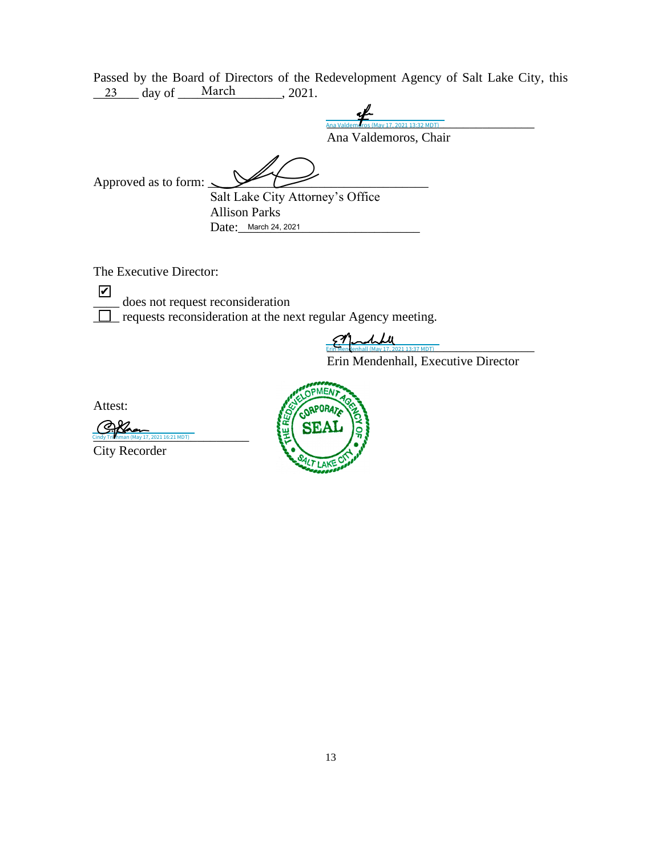Passed by the Board of Directors of the Redevelopment Agency of Salt Lake City, this  $\frac{23}{23}$  day of  $\frac{\text{March}}{\text{March}}$ , 2021.

Ana Valdemeros (May 17, 2021 13:32 MDT) Ana Valdemoros, Chair Ana Valdemoros (May 17, 2021 13:32 MDT)

Approved as to form:  $\leq$ 

Salt Lake City Attorney's Office Allison Parks Date: March 24, 2021

The Executive Director:

✔

does not request reconsideration

\_\_\_\_ requests reconsideration at the next regular Agency meeting.

[\\_\\_\\_\\_\\_\\_\\_\\_\\_\\_\\_\\_\\_\\_\\_\\_\\_\\_\\_\\_\\_\\_\\_\\_\\_\\_\\_\\_\\_\\_\\_\\_](https://adobecancelledaccountschannel.na1.documents.adobe.com/verifier?tx=CBJCHBCAABAAInbPVjRTFBvmBeNQJ1-3Z0H2hHGhVuPA) Erin Mendenhall (May 17, 2021 13:37 MDT)

Erin Mendenhall, Executive Director

Attest:

[\\_\\_\\_\\_\\_\\_\\_\\_\\_\\_\\_\\_\\_\\_\\_\\_\\_\\_\\_\\_\\_\\_\\_\\_](https://na1.documents.adobe.com/verifier?tx=CBJCHBCAABAAInbPVjRTFBvmBeNQJ1-3Z0H2hHGhVuPA) Cindy Trishman (May 17, 2021 16:21 MDT)

City Recorder

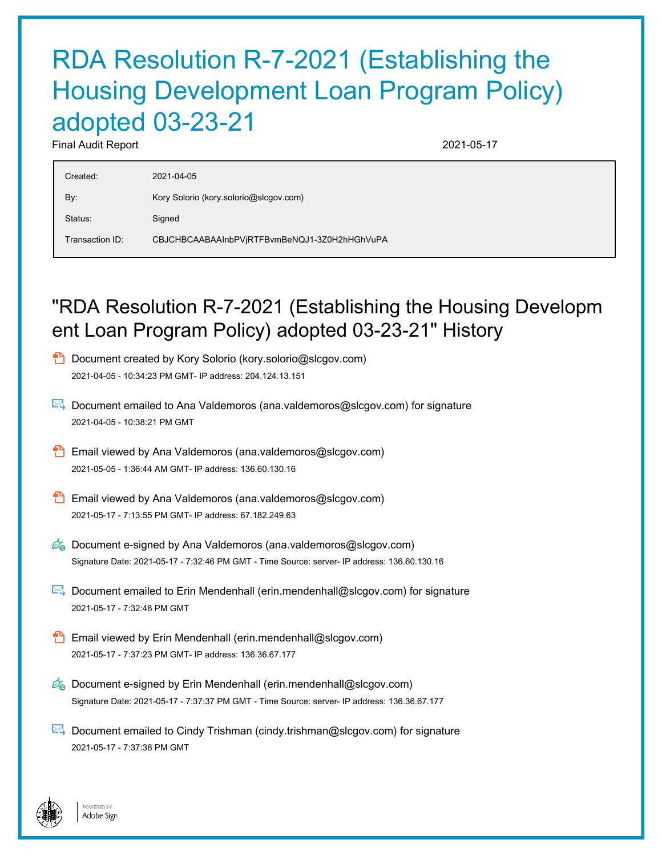# RDA Resolution R-7-2021 (Establishing the Housing Development Loan Program Policy) adopted 03-23-21

Final Audit Report 2021-05-17

| Created:        | 2021-04-05                                   |
|-----------------|----------------------------------------------|
| By:             | Kory Solorio (kory.solorio@slcgov.com)       |
| Status:         | Signed                                       |
| Transaction ID: | CBJCHBCAABAAInbPVjRTFBvmBeNQJ1-3Z0H2hHGhVuPA |

## "RDA Resolution R-7-2021 (Establishing the Housing Developm ent Loan Program Policy) adopted 03-23-21" History

- **D** Document created by Kory Solorio (kory.solorio@slcgov.com) 2021-04-05 - 10:34:23 PM GMT- IP address: 204.124.13.151
- Document emailed to Ana Valdemoros (ana.valdemoros@slcgov.com) for signature 2021-04-05 - 10:38:21 PM GMT
- Email viewed by Ana Valdemoros (ana.valdemoros@slcgov.com) 2021-05-05 - 1:36:44 AM GMT- IP address: 136.60.130.16
- **Email viewed by Ana Valdemoros (ana.valdemoros@slcgov.com)** 2021-05-17 - 7:13:55 PM GMT- IP address: 67.182.249.63
- $\mathscr{O}_\bullet$  Document e-signed by Ana Valdemoros (ana.valdemoros@slcgov.com) Signature Date: 2021-05-17 - 7:32:46 PM GMT - Time Source: server- IP address: 136.60.130.16
- Document emailed to Erin Mendenhall (erin.mendenhall@slcgov.com) for signature 2021-05-17 - 7:32:48 PM GMT
- **B** Email viewed by Erin Mendenhall (erin.mendenhall@slcgov.com) 2021-05-17 - 7:37:23 PM GMT- IP address: 136.36.67.177
- $\mathscr{O}_\blacksquare$  Document e-signed by Erin Mendenhall (erin.mendenhall@slcgov.com) Signature Date: 2021-05-17 - 7:37:37 PM GMT - Time Source: server- IP address: 136.36.67.177
- Document emailed to Cindy Trishman (cindy.trishman@slcgov.com) for signature 2021-05-17 - 7:37:38 PM GMT